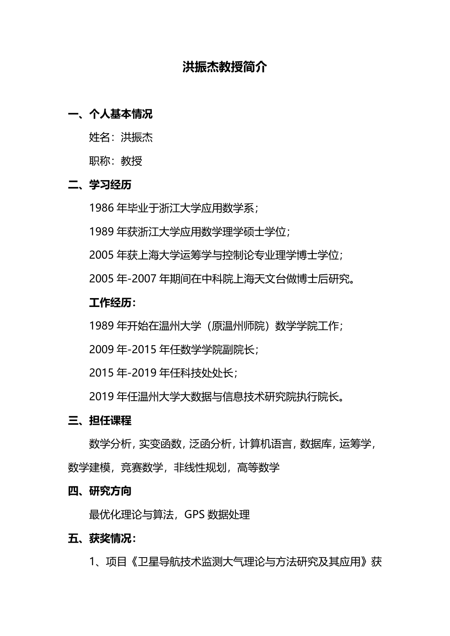# **洪振杰教授简介**

# **一、个人基本情况**

姓名:洪振杰

职称:教授

### **二、学习经历**

1986 年毕业于浙江大学应用数学系;

1989 年获浙江大学应用数学理学硕士学位;

2005 年获上海大学运筹学与控制论专业理学博士学位;

2005 年-2007 年期间在中科院上海天文台做博士后研究。

### **工作经历:**

1989 年开始在温州大学(原温州师院)数学学院工作;

2009 年-2015 年任数学学院副院长;

2015 年-2019 年任科技处处长;

2019 年任温州大学大数据与信息技术研究院执行院长。

#### **三、担任课程**

数学分析,实变函数,泛函分析,计算机语言,数据库,运筹学, 数学建模,竞赛数学,非线性规划,高等数学

#### **四、研究方向**

最优化理论与算法,GPS 数据处理

### **五、获奖情况:**

1、项目《卫星导航技术监测大气理论与方法研究及其应用》获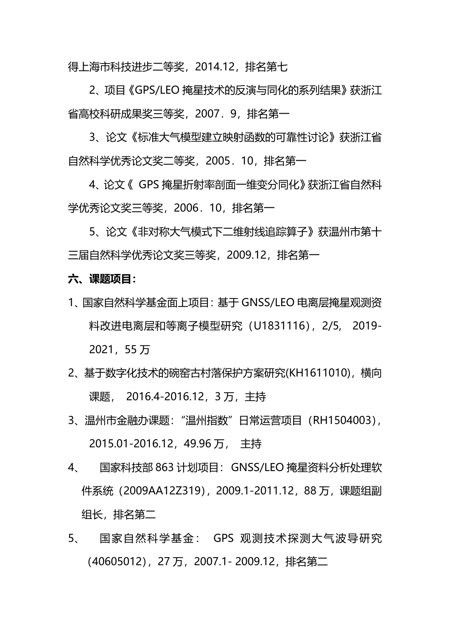得上海市科技进步二等奖,2014.12,排名第七

2、项目《GPS/LEO 掩星技术的反演与同化的系列结果》获浙江 省高校科研成果奖三等奖,2007.9,排名第一

3、论文《标准大气模型建立映射函数的可靠性讨论》获浙江省 自然科学优秀论文奖二等奖,2005.10,排名第一

4、论文《 GPS 掩星折射率剖面一维变分同化》获浙江省自然科 学优秀论文奖三等奖,2006.10,排名第一

5、论文《非对称大气模式下二维射线追踪算子》获温州市第十 三届自然科学优秀论文奖三等奖,2009.12,排名第一

### **六、课题项目:**

- 1、国家自然科学基金面上项目:基于 GNSS/LEO 电离层掩星观测资 料改讲电离层和等离子模型研究 (U1831116), 2/5, 2019-2021,55 万
- 2、基于数字化技术的碗窑古村落保护方案研究(KH1611010),横向 课题, 2016.4-2016.12, 3 万, 主持
- 3、温州市金融办课题:"温州指数"日常运营项目(RH1504003), 2015.01-2016.12,49.96 万, 主持
- 4、 国家科技部 863 计划项目:GNSS/LEO 掩星资料分析处理软 件系统(2009AA12Z319),2009.1-2011.12,88 万,课题组副 组长, 排名第二
- 5、 国家自然科学基金: GPS 观测技术探测大气波导研究 (40605012),27 万,2007.1- 2009.12,排名第二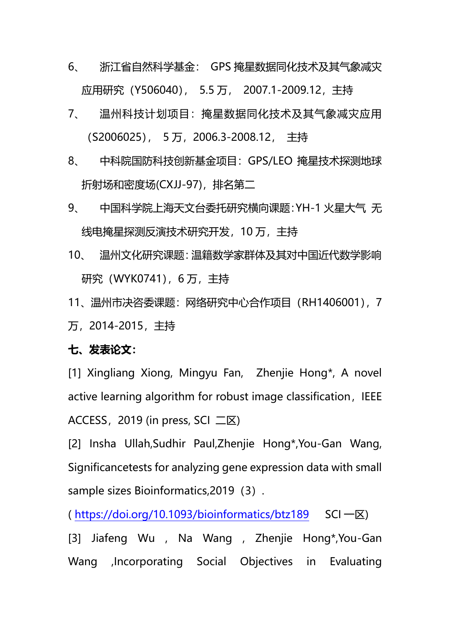- 6、 浙江省自然科学基金: GPS 掩星数据同化技术及其气象减灾 应用研究(Y506040), 5.5 万, 2007.1-2009.12,主持
- 7、 温州科技计划项目:掩星数据同化技术及其气象减灾应用 (S2006025), 5 万,2006.3-2008.12, 主持
- 8、 中科院国防科技创新基金项目:GPS/LEO 掩星技术探测地球 折射场和密度场(CXJJ-97),排名第二
- 9、 中国科学院上海天文台委托研究横向课题:YH-1 火星大气 无 线电掩星探测反演技术研究开发,10 万,主持
- 10、 温州文化研究课题:温籍数学家群体及其对中国近代数学影响 研究 (WYK0741), 6 万, 主持
- 11、温州市决咨委课题:网络研究中心合作项目(RH1406001),7 万,2014-2015,主持

## **七、发表论文:**

[1] Xingliang Xiong, Mingyu Fan, Zhenjie Hong\*, A novel active learning algorithm for robust image classification, IEEE ACCESS, 2019 (in press, SCI 二区)

[2] Insha Ullah,Sudhir Paul,Zhenjie Hong\*,You-Gan Wang, Significancetests for analyzing gene expression data with small sample sizes Bioinformatics, 2019 (3).

( <https://doi.org/10.1093/bioinformatics/btz189>SCI 一区)

[3] Jiafeng Wu , Na Wang , Zhenjie Hong\*,You-Gan Wang ,Incorporating Social Objectives in Evaluating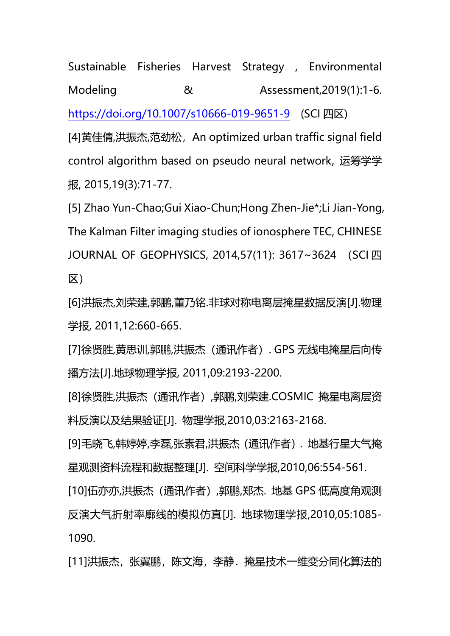Sustainable Fisheries Harvest Strategy , Environmental Modeling  $\&$  Assessment,2019(1):1-6. <https://doi.org/10.1007/s10666-019-9651-9> (SCI 四区)

[4]黄佳倩,洪振杰,范劲松, An optimized urban traffic signal field control algorithm based on pseudo neural network, 运筹学学 报, 2015,19(3):71-77.

[5] Zhao Yun-Chao;Gui Xiao-Chun;Hong Zhen-Jie\*;Li Jian-Yong, The Kalman Filter imaging studies of ionosphere TEC, CHINESE JOURNAL OF GEOPHYSICS, 2014,57(11): 3617~3624 (SCI 四 区)

[6]洪振杰,刘荣建,郭鹏,董乃铭.非球对称电离层掩星数据反演[J].物理 学报, 2011,12:660-665.

[7]徐贤胜,黄思训,郭鹏,洪振杰(通讯作者). GPS 无线电掩星后向传 播方法[J].地球物理学报, 2011,09:2193-2200.

[8]徐贤胜,洪振杰(通讯作者),郭鹏,刘荣建.COSMIC 掩星电离层资 料反演以及结果验证[J]. 物理学报,2010,03:2163-2168.

[9]毛晓飞,韩婷婷,李磊,张素君,洪振杰(通讯作者). 地基行星大气掩 星观测资料流程和数据整理[J]. 空间科学学报,2010,06:554-561.

[10]伍亦亦,洪振杰(通讯作者),郭鹏,郑杰. 地基 GPS 低高度角观测 反演大气折射率廓线的模拟仿真[J]. 地球物理学报,2010,05:1085- 1090.

[11]洪振杰,张翼鹏,陈文海,李静,掩星技术一维变分同化算法的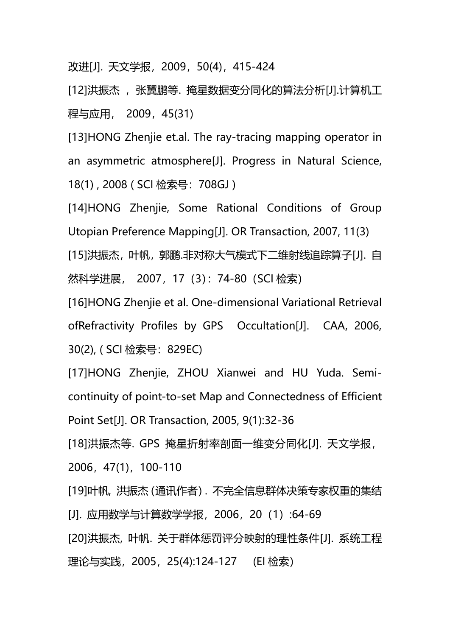改进[J]. 天文学报,2009,50(4),415-424

[12]洪振杰, 既翼鹏等. 掩星数据变分同化的算法分析[J].计算机工 程与应用, 2009,45(31)

[13]HONG Zhenjie et.al. The ray-tracing mapping operator in an asymmetric atmosphere[J]. Progress in Natural Science, 18(1) , 2008 ( SCI 检索号:708GJ )

[14]HONG Zhenjie, Some Rational Conditions of Group Utopian Preference Mapping[J]. OR Transaction, 2007, 11(3) [15]洪振杰,叶帆,郭鹏.非对称大气模式下二维射线追踪算子[J]. 自 然科学进展, 2007,17(3):74-80(SCI 检索)

[16]HONG Zhenjie et al. One-dimensional Variational Retrieval ofRefractivity Profiles by GPS Occultation[J]. CAA, 2006, 30(2), ( SCI 检索号:829EC)

[17]HONG Zhenjie, ZHOU Xianwei and HU Yuda. Semicontinuity of point-to-set Map and Connectedness of Efficient Point Set[J]. OR Transaction, 2005, 9(1):32-36

[18]洪振杰等. GPS 掩星折射率剖面一维变分同化[J]. 天文学报, 2006,47(1),100-110

[19]叶帆, 洪振杰(通讯作者). 不完全信息群体决策专家权重的集结 [J]. 应用数学与计算数学学报,2006,20(1):64-69 [20]洪振杰, 叶帆. 关于群体惩罚评分映射的理性条件[J]. 系统工程 理论与实践, 2005, 25(4):124-127 (EI 检索)